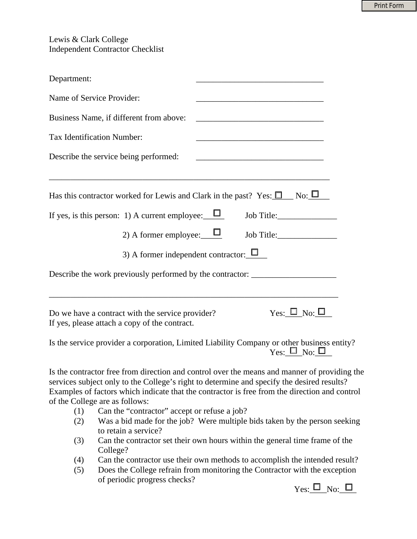Print Form

Lewis & Clark College Independent Contractor Checklist

| Department:                                                                                                                                                                                                                                                                                                                   |  |  |  |
|-------------------------------------------------------------------------------------------------------------------------------------------------------------------------------------------------------------------------------------------------------------------------------------------------------------------------------|--|--|--|
| Name of Service Provider:                                                                                                                                                                                                                                                                                                     |  |  |  |
| Business Name, if different from above:                                                                                                                                                                                                                                                                                       |  |  |  |
| Tax Identification Number:                                                                                                                                                                                                                                                                                                    |  |  |  |
| Describe the service being performed:                                                                                                                                                                                                                                                                                         |  |  |  |
|                                                                                                                                                                                                                                                                                                                               |  |  |  |
| Has this contractor worked for Lewis and Clark in the past? Yes: $\Box$ No: $\Box$                                                                                                                                                                                                                                            |  |  |  |
| If yes, is this person: 1) A current employee: $\Box$<br>Job Title: 1997                                                                                                                                                                                                                                                      |  |  |  |
| 2) A former employee: $\Box$<br>Job Title:                                                                                                                                                                                                                                                                                    |  |  |  |
| 3) A former independent contractor: $\Box$                                                                                                                                                                                                                                                                                    |  |  |  |
| Describe the work previously performed by the contractor: ______________________                                                                                                                                                                                                                                              |  |  |  |
|                                                                                                                                                                                                                                                                                                                               |  |  |  |
| $Yes: \blacksquare$ No: $\square$<br>Do we have a contract with the service provider?<br>If yes, please attach a copy of the contract.                                                                                                                                                                                        |  |  |  |
| Is the service provider a corporation, Limited Liability Company or other business entity?<br>$Y_{\text{es}}: \square_{\text{No}}: \square$                                                                                                                                                                                   |  |  |  |
| Is the contractor free from direction and control over the means and manner of providing the<br>services subject only to the College's right to determine and specify the desired results?<br>Examples of factors which indicate that the contractor is free from the direction and control<br>of the College are as follows: |  |  |  |

- (1) Can the "contractor" accept or refuse a job?
- (2) Was a bid made for the job? Were multiple bids taken by the person seeking to retain a service?
- (3) Can the contractor set their own hours within the general time frame of the College?
- (4) Can the contractor use their own methods to accomplish the intended result?
- (5) Does the College refrain from monitoring the Contractor with the exception of periodic progress checks?

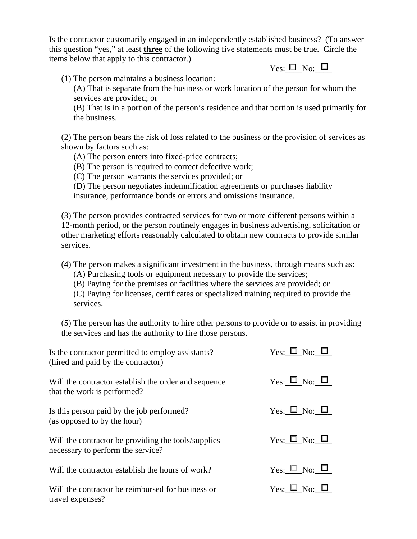Is the contractor customarily engaged in an independently established business? (To answer this question "yes," at least **three** of the following five statements must be true. Circle the items below that apply to this contractor.)

 $Y_{\text{es}}: \Box_{\text{No}}: \Box$ 

(1) The person maintains a business location:

(A) That is separate from the business or work location of the person for whom the services are provided; or

(B) That is in a portion of the person's residence and that portion is used primarily for the business.

(2) The person bears the risk of loss related to the business or the provision of services as shown by factors such as:

(A) The person enters into fixed-price contracts;

(B) The person is required to correct defective work;

(C) The person warrants the services provided; or

(D) The person negotiates indemnification agreements or purchases liability insurance, performance bonds or errors and omissions insurance.

(3) The person provides contracted services for two or more different persons within a 12-month period, or the person routinely engages in business advertising, solicitation or other marketing efforts reasonably calculated to obtain new contracts to provide similar services.

(4) The person makes a significant investment in the business, through means such as:

(A) Purchasing tools or equipment necessary to provide the services;

(B) Paying for the premises or facilities where the services are provided; or

(C) Paying for licenses, certificates or specialized training required to provide the services.

(5) The person has the authority to hire other persons to provide or to assist in providing the services and has the authority to fire those persons.

| Is the contractor permitted to employ assistants?<br>(hired and paid by the contractor)  | Yes: $\square$ No: $\square$ |
|------------------------------------------------------------------------------------------|------------------------------|
| Will the contractor establish the order and sequence<br>that the work is performed?      | $Yes: \Box No: \Box$         |
| Is this person paid by the job performed?<br>(as opposed to by the hour)                 | $Yes: \Box No: \Box$         |
| Will the contractor be providing the tools/supplies<br>necessary to perform the service? | $Yes: \Box No: \Box$         |
| Will the contractor establish the hours of work?                                         | $Yes: \Box No: \Box$         |
| Will the contractor be reimbursed for business or<br>travel expenses?                    | $Yes: \Box No: \Box$         |